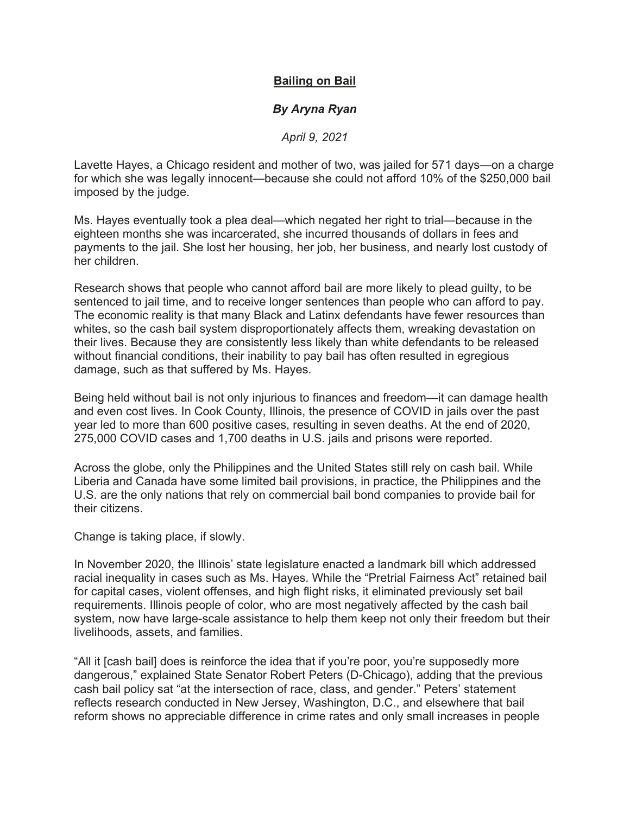## **Bailing on Bail**

## *By Aryna Ryan*

*April 9, 2021*

Lavette Hayes, a Chicago resident and mother of two, was jailed for 571 days—on a charge for which she was legally innocent—because she could not afford 10% of the \$250,000 bail imposed by the judge.

Ms. Hayes eventually took a plea deal—which negated her right to trial—because in the eighteen months she was incarcerated, she incurred thousands of dollars in fees and payments to the jail. She lost her housing, her job, her business, and nearly lost custody of her children.

Research shows that people who cannot afford bail are more likely to plead guilty, to be sentenced to jail time, and to receive longer sentences than people who can afford to pay. The economic reality is that many Black and Latinx defendants have fewer resources than whites, so the cash bail system disproportionately affects them, wreaking devastation on their lives. Because they are consistently less likely than white defendants to be released without financial conditions, their inability to pay bail has often resulted in egregious damage, such as that suffered by Ms. Hayes.

Being held without bail is not only injurious to finances and freedom—it can damage health and even cost lives. In Cook County, Illinois, the presence of COVID in jails over the past year led to more than 600 positive cases, resulting in seven deaths. At the end of 2020, 275,000 COVID cases and 1,700 deaths in U.S. jails and prisons were reported.

Across the globe, only the Philippines and the United States still rely on cash bail. While Liberia and Canada have some limited bail provisions, in practice, the Philippines and the U.S. are the only nations that rely on commercial bail bond companies to provide bail for their citizens.

Change is taking place, if slowly.

In November 2020, the Illinois' state legislature enacted a landmark bill which addressed racial inequality in cases such as Ms. Hayes. While the "Pretrial Fairness Act" retained bail for capital cases, violent offenses, and high flight risks, it eliminated previously set bail requirements. Illinois people of color, who are most negatively affected by the cash bail system, now have large-scale assistance to help them keep not only their freedom but their livelihoods, assets, and families.

"All it [cash bail] does is reinforce the idea that if you're poor, you're supposedly more dangerous," explained State Senator Robert Peters (D-Chicago), adding that the previous cash bail policy sat "at the intersection of race, class, and gender." Peters' statement reflects research conducted in New Jersey, Washington, D.C., and elsewhere that bail reform shows no appreciable difference in crime rates and only small increases in people